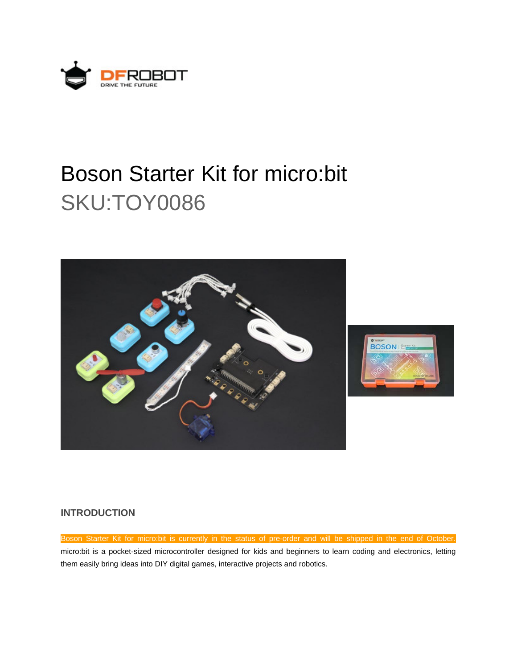

# Boson Starter Kit for micro:bit SKU:TOY0086





## **INTRODUCTION**

Boson Starter Kit for micro:bit is currently in the status of pre-order and will be shipped in the end of October. micro:bit is a pocket-sized microcontroller designed for kids and beginners to learn coding and electronics, letting them easily bring ideas into DIY digital games, interactive projects and robotics.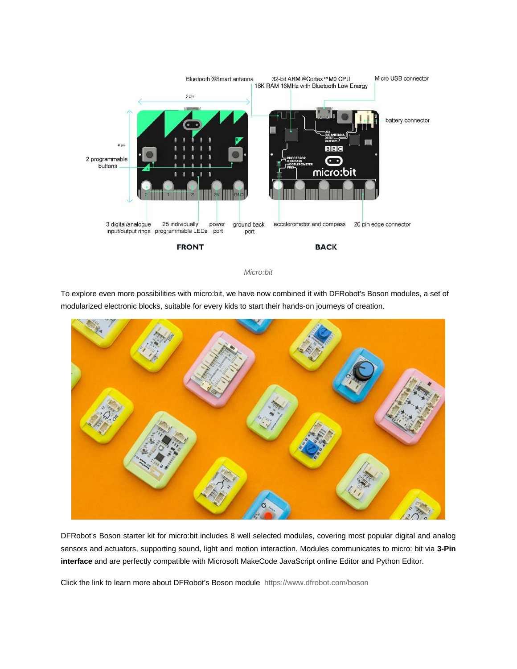

*Micro:bit*

To explore even more possibilities with micro:bit, we have now combined it with DFRobot's Boson modules, a set of modularized electronic blocks, suitable for every kids to start their hands-on journeys of creation.



DFRobot's Boson starter kit for micro:bit includes 8 well selected modules, covering most popular digital and analog sensors and actuators, supporting sound, light and motion interaction. Modules communicates to micro: bit via **3-Pin interface** and are perfectly compatible with Microsoft MakeCode JavaScript online Editor and Python Editor.

Click the link to learn more about DFRobot's Boson module https://www.dfrobot.com/boson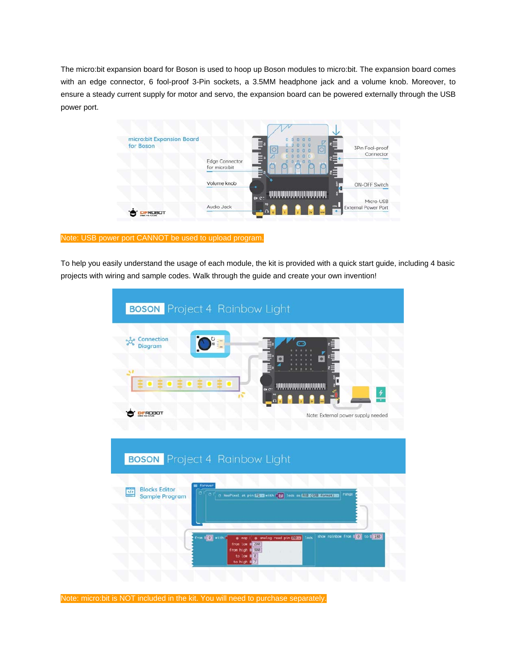The micro:bit expansion board for Boson is used to hoop up Boson modules to micro:bit. The expansion board comes with an edge connector, 6 fool-proof 3-Pin sockets, a 3.5MM headphone jack and a volume knob. Moreover, to ensure a steady current supply for motor and servo, the expansion board can be powered externally through the USB power port.



#### Note: USB power port CANNOT be used to upload program.

To help you easily understand the usage of each module, the kit is provided with a quick start guide, including 4 basic projects with wiring and sample codes. Walk through the guide and create your own invention!



Note: micro:bit is NOT included in the kit. You will need to purchase separately.